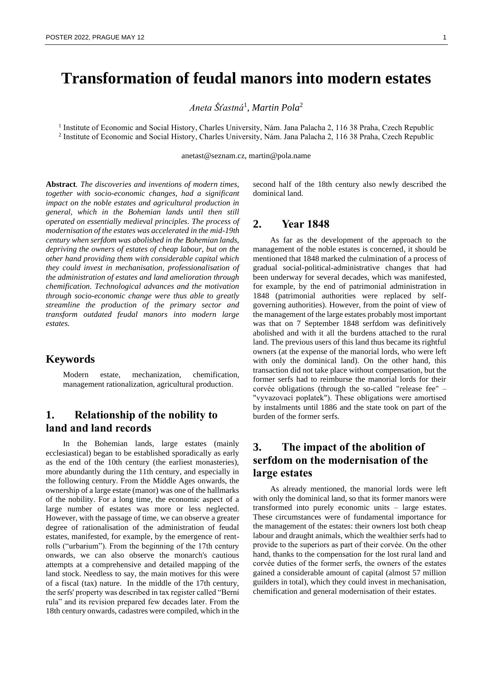# **Transformation of feudal manors into modern estates**

*Aneta Šťastná*<sup>1</sup> *, Martin Pola*<sup>2</sup>

<sup>1</sup> Institute of Economic and Social History, Charles University, Nám. Jana Palacha 2, 116 38 Praha, Czech Republic 2 Institute of Economic and Social History, Charles University, Nám. Jana Palacha 2, 116 38 Praha, Czech Republic

anetast@seznam.cz, martin@pola.name

**Abstract***. The discoveries and inventions of modern times, together with socio-economic changes, had a significant impact on the noble estates and agricultural production in general, which in the Bohemian lands until then still operated on essentially medieval principles. The process of modernisation of the estates was accelerated in the mid-19th century when serfdom was abolished in the Bohemian lands, depriving the owners of estates of cheap labour, but on the other hand providing them with considerable capital which they could invest in mechanisation, professionalisation of the administration of estates and land amelioration through chemification. Technological advances and the motivation through socio-economic change were thus able to greatly streamline the production of the primary sector and transform outdated feudal manors into modern large estates.*

## **Keywords**

Modern estate, mechanization, chemification, management rationalization, agricultural production.

# **1. Relationship of the nobility to land and land records**

In the Bohemian lands, large estates (mainly ecclesiastical) began to be established sporadically as early as the end of the 10th century (the earliest monasteries), more abundantly during the 11th century, and especially in the following century. From the Middle Ages onwards, the ownership of a large estate (manor) was one of the hallmarks of the nobility. For a long time, the economic aspect of a large number of estates was more or less neglected. However, with the passage of time, we can observe a greater degree of rationalisation of the administration of feudal estates, manifested, for example, by the emergence of rentrolls ("urbarium"). From the beginning of the 17th century onwards, we can also observe the monarch's cautious attempts at a comprehensive and detailed mapping of the land stock. Needless to say, the main motives for this were of a fiscal (tax) nature. In the middle of the 17th century, the serfs' property was described in tax register called "Berní rula" and its revision prepared few decades later. From the 18th century onwards, cadastres were compiled, which in the second half of the 18th century also newly described the dominical land.

#### **2. Year 1848**

As far as the development of the approach to the management of the noble estates is concerned, it should be mentioned that 1848 marked the culmination of a process of gradual social-political-administrative changes that had been underway for several decades, which was manifested, for example, by the end of patrimonial administration in 1848 (patrimonial authorities were replaced by selfgoverning authorities). However, from the point of view of the management of the large estates probably most important was that on 7 September 1848 serfdom was definitively abolished and with it all the burdens attached to the rural land. The previous users of this land thus became its rightful owners (at the expense of the manorial lords, who were left with only the dominical land). On the other hand, this transaction did not take place without compensation, but the former serfs had to reimburse the manorial lords for their corvée obligations (through the so-called "release fee" – "vyvazovací poplatek"). These obligations were amortised by instalments until 1886 and the state took on part of the burden of the former serfs.

# **3. The impact of the abolition of serfdom on the modernisation of the large estates**

As already mentioned, the manorial lords were left with only the dominical land, so that its former manors were transformed into purely economic units – large estates. These circumstances were of fundamental importance for the management of the estates: their owners lost both cheap labour and draught animals, which the wealthier serfs had to provide to the superiors as part of their corvée. On the other hand, thanks to the compensation for the lost rural land and corvée duties of the former serfs, the owners of the estates gained a considerable amount of capital (almost 57 million guilders in total), which they could invest in mechanisation, chemification and general modernisation of their estates.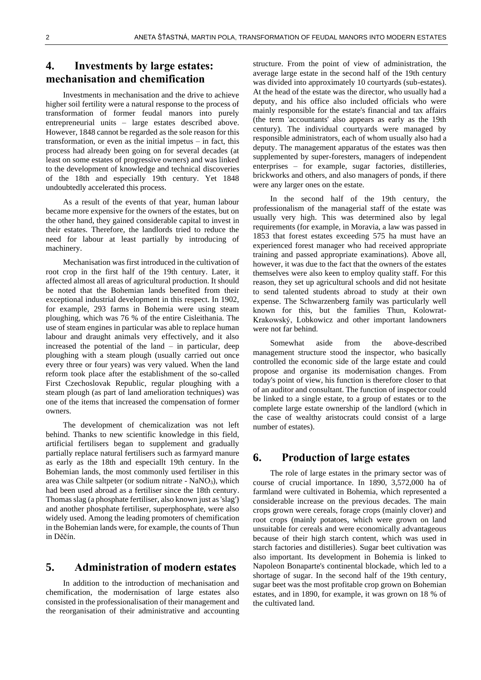# **4. Investments by large estates: mechanisation and chemification**

Investments in mechanisation and the drive to achieve higher soil fertility were a natural response to the process of transformation of former feudal manors into purely entrepreneurial units – large estates described above. However, 1848 cannot be regarded as the sole reason for this transformation, or even as the initial impetus – in fact, this process had already been going on for several decades (at least on some estates of progressive owners) and was linked to the development of knowledge and technical discoveries of the 18th and especially 19th century. Yet 1848 undoubtedly accelerated this process.

As a result of the events of that year, human labour became more expensive for the owners of the estates, but on the other hand, they gained considerable capital to invest in their estates. Therefore, the landlords tried to reduce the need for labour at least partially by introducing of machinery.

Mechanisation was first introduced in the cultivation of root crop in the first half of the 19th century. Later, it affected almost all areas of agricultural production. It should be noted that the Bohemian lands benefited from their exceptional industrial development in this respect. In 1902, for example, 293 farms in Bohemia were using steam ploughing, which was 76 % of the entire Cisleithania. The use of steam engines in particular was able to replace human labour and draught animals very effectively, and it also increased the potential of the land – in particular, deep ploughing with a steam plough (usually carried out once every three or four years) was very valued. When the land reform took place after the establishment of the so-called First Czechoslovak Republic, regular ploughing with a steam plough (as part of land amelioration techniques) was one of the items that increased the compensation of former owners.

The development of chemicalization was not left behind. Thanks to new scientific knowledge in this field, artificial fertilisers began to supplement and gradually partially replace natural fertilisers such as farmyard manure as early as the 18th and especiallt 19th century. In the Bohemian lands, the most commonly used fertiliser in this area was Chile saltpeter (or sodium nitrate - NaNO<sub>3</sub>), which had been used abroad as a fertiliser since the 18th century. Thomas slag (a phosphate fertiliser, also known just as 'slag') and another phosphate fertiliser, superphosphate, were also widely used. Among the leading promoters of chemification in the Bohemian lands were, for example, the counts of Thun in Děčín.

## **5. Administration of modern estates**

In addition to the introduction of mechanisation and chemification, the modernisation of large estates also consisted in the professionalisation of their management and the reorganisation of their administrative and accounting

structure. From the point of view of administration, the average large estate in the second half of the 19th century was divided into approximately 10 courtyards (sub-estates). At the head of the estate was the director, who usually had a deputy, and his office also included officials who were mainly responsible for the estate's financial and tax affairs (the term 'accountants' also appears as early as the 19th century). The individual courtyards were managed by responsible administrators, each of whom usually also had a deputy. The management apparatus of the estates was then supplemented by super-foresters, managers of independent enterprises – for example, sugar factories, distilleries, brickworks and others, and also managers of ponds, if there were any larger ones on the estate.

In the second half of the 19th century, the professionalism of the managerial staff of the estate was usually very high. This was determined also by legal requirements (for example, in Moravia, a law was passed in 1853 that forest estates exceeding 575 ha must have an experienced forest manager who had received appropriate training and passed appropriate examinations). Above all, however, it was due to the fact that the owners of the estates themselves were also keen to employ quality staff. For this reason, they set up agricultural schools and did not hesitate to send talented students abroad to study at their own expense. The Schwarzenberg family was particularly well known for this, but the families Thun, Kolowrat-Krakowský, Lobkowicz and other important landowners were not far behind.

Somewhat aside from the above-described management structure stood the inspector, who basically controlled the economic side of the large estate and could propose and organise its modernisation changes. From today's point of view, his function is therefore closer to that of an auditor and consultant. The function of inspector could be linked to a single estate, to a group of estates or to the complete large estate ownership of the landlord (which in the case of wealthy aristocrats could consist of a large number of estates).

## **6. Production of large estates**

The role of large estates in the primary sector was of course of crucial importance. In 1890, 3,572,000 ha of farmland were cultivated in Bohemia, which represented a considerable increase on the previous decades. The main crops grown were cereals, forage crops (mainly clover) and root crops (mainly potatoes, which were grown on land unsuitable for cereals and were economically advantageous because of their high starch content, which was used in starch factories and distilleries). Sugar beet cultivation was also important. Its development in Bohemia is linked to Napoleon Bonaparte's continental blockade, which led to a shortage of sugar. In the second half of the 19th century, sugar beet was the most profitable crop grown on Bohemian estates, and in 1890, for example, it was grown on 18 % of the cultivated land.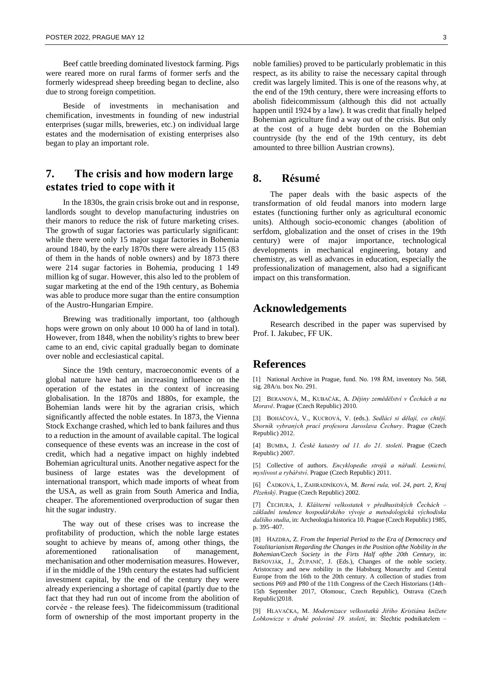Beef cattle breeding dominated livestock farming. Pigs were reared more on rural farms of former serfs and the formerly widespread sheep breeding began to decline, also due to strong foreign competition.

Beside of investments in mechanisation and chemification, investments in founding of new industrial enterprises (sugar mills, breweries, etc.) on individual large estates and the modernisation of existing enterprises also began to play an important role.

# **7. The crisis and how modern large estates tried to cope with it**

In the 1830s, the grain crisis broke out and in response, landlords sought to develop manufacturing industries on their manors to reduce the risk of future marketing crises. The growth of sugar factories was particularly significant: while there were only 15 major sugar factories in Bohemia around 1840, by the early 1870s there were already 115 (83 of them in the hands of noble owners) and by 1873 there were 214 sugar factories in Bohemia, producing 1 149 million kg of sugar. However, this also led to the problem of sugar marketing at the end of the 19th century, as Bohemia was able to produce more sugar than the entire consumption of the Austro-Hungarian Empire.

Brewing was traditionally important, too (although hops were grown on only about 10 000 ha of land in total). However, from 1848, when the nobility's rights to brew beer came to an end, civic capital gradually began to dominate over noble and ecclesiastical capital.

Since the 19th century, macroeconomic events of a global nature have had an increasing influence on the operation of the estates in the context of increasing globalisation. In the 1870s and 1880s, for example, the Bohemian lands were hit by the agrarian crisis, which significantly affected the noble estates. In 1873, the Vienna Stock Exchange crashed, which led to bank failures and thus to a reduction in the amount of available capital. The logical consequence of these events was an increase in the cost of credit, which had a negative impact on highly indebted Bohemian agricultural units. Another negative aspect for the business of large estates was the development of international transport, which made imports of wheat from the USA, as well as grain from South America and India, cheaper. The aforementioned overproduction of sugar then hit the sugar industry.

The way out of these crises was to increase the profitability of production, which the noble large estates sought to achieve by means of, among other things, the aforementioned rationalisation of management, mechanisation and other modernisation measures. However, if in the middle of the 19th century the estates had sufficient investment capital, by the end of the century they were already experiencing a shortage of capital (partly due to the fact that they had run out of income from the abolition of corvée - the release fees). The fideicommissum (traditional form of ownership of the most important property in the

noble families) proved to be particularly problematic in this respect, as its ability to raise the necessary capital through credit was largely limited. This is one of the reasons why, at the end of the 19th century, there were increasing efforts to abolish fideicommissum (although this did not actually happen until 1924 by a law). It was credit that finally helped Bohemian agriculture find a way out of the crisis. But only at the cost of a huge debt burden on the Bohemian countryside (by the end of the 19th century, its debt amounted to three billion Austrian crowns).

## **8. Résumé**

The paper deals with the basic aspects of the transformation of old feudal manors into modern large estates (functioning further only as agricultural economic units). Although socio-economic changes (abolition of serfdom, globalization and the onset of crises in the 19th century) were of major importance, technological developments in mechanical engineering, botany and chemistry, as well as advances in education, especially the professionalization of management, also had a significant impact on this transformation.

#### **Acknowledgements**

Research described in the paper was supervised by Prof. I. Jakubec, FF UK.

### **References**

[1] National Archive in Prague, fund. No. 198 ŘM, inventory No. 568, sig. 28A/u. box No. 291.

[2] BERANOVÁ, M., KUBAČÁK, A. *Dějiny zemědělství v Čechách a na Moravě*. Prague (Czech Republic) 2010.

[3] BOHÁČOVÁ, V., KUCROVÁ, V. (eds.). *Sedláci si dělají, co chtějí. Sborník vybraných prací profesora Jaroslava Čechury*. Prague (Czech Republic) 2012.

[4] BUMBA, J. *České katastry od 11. do 21. století*. Prague (Czech Republic) 2007.

[5] Collective of authors. *Encyklopedie strojů a nářadí. Lesnictví, myslivost a rybářství*. Prague (Czech Republic) 2011.

[6] ČADKOVÁ, I., ZAHRADNÍKOVÁ, M. *Berní rula, vol. 24, part. 2, Kraj Plzeňský*. Prague (Czech Republic) 2002.

[7] ČECHURA, J. *Klášterní velkostatek v předhusitských Čechách – základní tendence hospodářského vývoje a metodologická východiska dalšího studia*, in: Archeologia historica 10. Prague (Czech Republic) 1985, p. 395–407.

[8] HAZDRA, Z. *From the Imperial Period to the Era of Democracy and Totalitarianism Regarding the Changes in the Position ofthe Nobility in the Bohemian/Czech Society in the Firts Half ofthe 20th Century*, in: BRŇOVJÁK, J., ŽUPANIČ, J. (Eds.), Changes of the noble society. Aristocracy and new nobility in the Habsburg Monarchy and Central Europe from the 16th to the 20th century. A collection of studies from sections P69 and P80 of the 11th Congress of the Czech Historians (14th– 15th September 2017, Olomouc, Czech Republic), Ostrava (Czech Republic)2018.

[9] HLAVAČKA, M. *Modernizace velkostatků Jiřího Kristiána knížete Lobkowicze v druhé polovině 19. století*, in: Šlechtic podnikatelem –